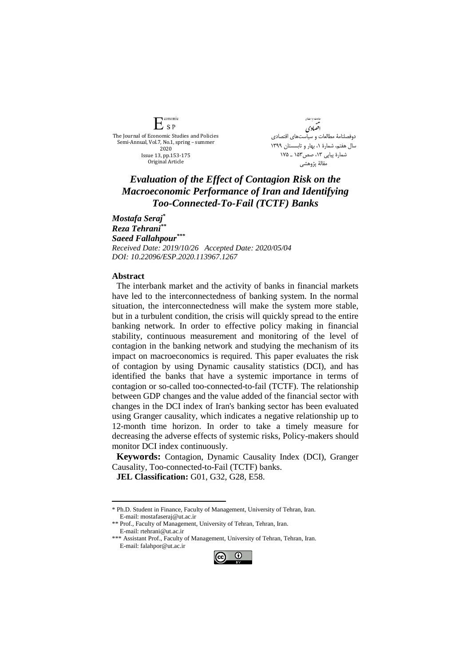$E_{SP}$ The Journal of Economic Studies and Policies Semi-Annual, Vol.7, No.1, spring – summer 2020 Issue 13, pp.153-175 Original Article

conomic

.<br>مامات د ساست<sup>4</sup>ی افضادي دوفصلنامۀ مطالعات و سیاستهای اقتصادی سال هفتم، شمارة ،1 بهار و تابسستان 1399 شمارة پیاپي ،13 صص153 ـ 175 مقالۀ پژوهشي

## *Evaluation of the Effect of Contagion Risk on the Macroeconomic Performance of Iran and Identifying Too-Connected-To-Fail (TCTF) Banks*

*Mostafa Seraj\* Reza Tehrani\*\* Saeed Fallahpour\*\*\* Received Date: 2019/10/26 Accepted Date: 2020/05/04 DOI: 10.22096/ESP.2020.113967.1267*

## **Abstract**

<u>.</u>

The interbank market and the activity of banks in financial markets have led to the interconnectedness of banking system. In the normal situation, the interconnectedness will make the system more stable, but in a turbulent condition, the crisis will quickly spread to the entire banking network. In order to effective policy making in financial stability, continuous measurement and monitoring of the level of contagion in the banking network and studying the mechanism of its impact on macroeconomics is required. This paper evaluates the risk of contagion by using Dynamic causality statistics (DCI), and has identified the banks that have a systemic importance in terms of contagion or so-called too-connected-to-fail (TCTF). The relationship between GDP changes and the value added of the financial sector with changes in the DCI index of Iran's banking sector has been evaluated using Granger causality, which indicates a negative relationship up to 12-month time horizon. In order to take a timely measure for decreasing the adverse effects of systemic risks, Policy-makers should monitor DCI index continuously.

**Keywords:** Contagion, Dynamic Causality Index (DCI), Granger Causality, Too-connected-to-Fail (TCTF) banks.

**JEL Classification:** G01, G32, G28, E58.

<sup>\*\*\*</sup> Assistant Prof., Faculty of Management, University of Tehran, Tehran, Iran. E-mail: falahpor@ut.ac.ir



<sup>\*</sup> Ph.D. Student in Finance, Faculty of Management, University of Tehran, Iran. E-mail: mostafaseraj@ut.ac.ir

<sup>\*\*</sup> Prof., Faculty of Management, University of Tehran, Tehran, Iran. E-mail: rtehrani@ut.ac.ir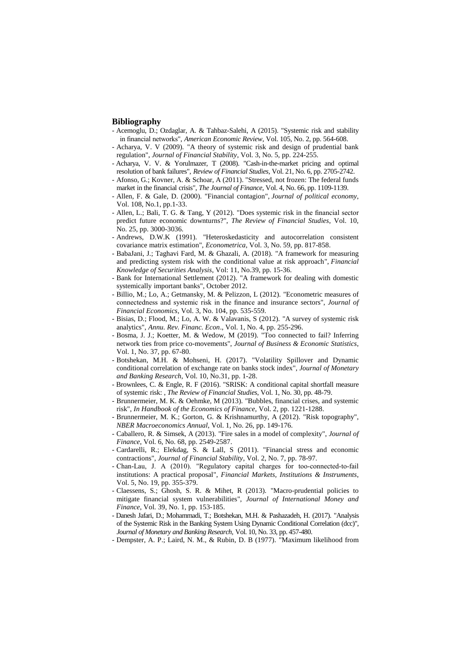## **Bibliography**

- Acemoglu, D.; Ozdaglar, A. & Tahbaz-Salehi, A (2015). "Systemic risk and stability in financial networks", *American Economic Review*, Vol. 105, No. 2, pp. 564-608.
- Acharya, V. V (2009). "A theory of systemic risk and design of prudential bank regulation", *Journal of Financial Stability*, Vol. 3, No. 5, pp. 224-255.
- Acharya, V. V. & Yorulmazer, T (2008). "Cash-in-the-market pricing and optimal resolution of bank failures", *Review of Financial Studies*, Vol. 21, No. 6, pp. 2705-2742.
- Afonso, G.; Kovner, A. & Schoar, A (2011). "Stressed, not frozen: The federal funds market in the financial crisis", *The Journal of Finance*, Vol. 4, No. 66, pp. 1109-1139.
- Allen, F. & Gale, D. (2000). "Financial contagion", *Journal of political economy*, Vol. 108, No.1, pp.1-33.
- Allen, L.; Bali, T. G. & Tang, Y (2012). "Does systemic risk in the financial sector predict future economic downturns?", *The Review of Financial Studies*, Vol. 10, No. 25, pp. 3000-3036.
- Andrews, D.W.K (1991). "Heteroskedasticity and autocorrelation consistent covariance matrix estimation", *Econometrica*, Vol. 3, No. 59, pp. 817-858.
- BabaJani, J.; Taghavi Fard, M. & Ghazali, A. (2018). "A framework for measuring and predicting system risk with the conditional value at risk approach", *Financial Knowledge of Securities Analysis*, Vol: 11, No.39, pp. 15-36.
- Bank for International Settlement (2012). "A framework for dealing with domestic systemically important banks", October 2012.
- Billio, M.; Lo, A.; Getmansky, M. & Pelizzon, L (2012). "Econometric measures of connectedness and systemic risk in the finance and insurance sectors", *Journal of Financial Economics*, Vol. 3, No. 104, pp. 535-559.
- Bisias, D.; Flood, M.; Lo, A. W. & Valavanis, S (2012). "A survey of systemic risk analytics", *Annu. Rev. Financ. Econ*., Vol. 1, No. 4, pp. 255-296.
- Bosma, J. J.; Koetter, M. & Wedow, M (2019). "Too connected to fail? Inferring network ties from price co-movements", *Journal of Business & Economic Statistics*, Vol. 1, No. 37, pp. 67-80.
- Botshekan, M.H. & Mohseni, H. (2017). "Volatility Spillover and Dynamic conditional correlation of exchange rate on banks stock index", *Journal of Monetary and Banking Research*, Vol. 10, No.31, pp. 1-28.
- Brownlees, C. & Engle, R. F (2016). "SRISK: A conditional capital shortfall measure of systemic risk: , *The Review of Financial Studies*, Vol. 1, No. 30, pp. 48-79.
- Brunnermeier, M. K. & Oehmke, M (2013). "Bubbles, financial crises, and systemic risk", *In Handbook of the Economics of Finance*, Vol. 2, pp. 1221-1288.
- Brunnermeier, M. K.; Gorton, G. & Krishnamurthy, A (2012). "Risk topography", *NBER Macroeconomics Annual*, Vol. 1, No. 26, pp. 149-176.
- Caballero, R. & Simsek, A (2013). "Fire sales in a model of complexity", *Journal of Finance*, Vol. 6, No. 68, pp. 2549-2587.
- Cardarelli, R.; Elekdag, S. & Lall, S (2011). "Financial stress and economic contractions", *Journal of Financial Stability*, Vol. 2, No. 7, pp. 78-97.
- Chan-Lau, J. A (2010). "Regulatory capital charges for too-connected-to-fail institutions: A practical proposal", *Financial Markets, Institutions & Instruments*, Vol. 5, No. 19, pp. 355-379.
- Claessens, S.; Ghosh, S. R. & Mihet, R (2013). "Macro-prudential policies to mitigate financial system vulnerabilities", *Journal of International Money and Finance*, Vol. 39, No. 1, pp. 153-185.
- Danesh Jafari, D.; Mohammadi, T.; Botshekan, M.H. & Pashazadeh, H. (2017). "Analysis of the Systemic Risk in the Banking System Using Dynamic Conditional Correlation (dcc)", *Journal of Monetary and Banking Research,* Vol. 10, No. 33, pp. 457-480.
- Dempster, A. P.; Laird, N. M., & Rubin, D. B (1977). "Maximum likelihood from